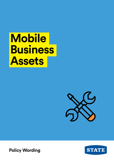# **Mobile Business Assets**



**STATE** 

**Policy Wording**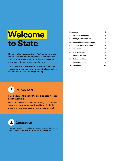# **Welcome to State**

Thank you for choosing State. You've made a great choice – we've been helping New Zealanders with their insurance needs for more than 100 years and are proud to be doing the same for you.

If you have any questions about your policy or think it doesn't provide the cover you need, please call us straight away – we'll be happy to help.

### [Introduction](#page-2-0) **1**

| 1. Insurance agreement         | 1  |
|--------------------------------|----|
| 2. What you are covered for    | 1  |
| 3. Automatic policy extensions | 2  |
| 4. Optional policy extensions  | 3  |
| 5. Exclusions                  | 3  |
| 6. How we will pay             | 6  |
| 7. What we will pay            | 7  |
| 8. Claims conditions           | 7  |
| 9. General conditions          | 8  |
| <b>10. Definitions</b>         | 10 |



### **This document is your Mobile Business Assets policy wording.**

Please make sure you read it carefully, as it contains important information you should know, including what your insurance covers – and what it doesn't.



If you have a question, need help or want to make an insurance claim, just call us on **0800 80 24 24** or visit **state.co.nz**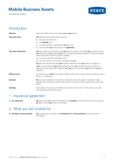# <span id="page-2-0"></span>**Mobile Business Assets**

Insurance policy



### **Introduction**

| Welcome                 | Welcome to State. Thank you for selecting us as your insurer.                                                                                                                                                                                                         |
|-------------------------|-----------------------------------------------------------------------------------------------------------------------------------------------------------------------------------------------------------------------------------------------------------------------|
| About this policy       | Your Mobile Business Assets Policy consists of:                                                                                                                                                                                                                       |
|                         | this policy document, and<br>(a)                                                                                                                                                                                                                                      |
|                         | the schedule, and<br>(b)                                                                                                                                                                                                                                              |
|                         | any endorsements or warranties that we apply, and<br>(C)                                                                                                                                                                                                              |
|                         | the information you have provided in the application.<br>(d)                                                                                                                                                                                                          |
| Your duty of disclosure | You have a legal duty of disclosure when you apply for insurance. This means you or anyone acting on<br>your behalf must tell us everything you know (or could be reasonably expected to know) that a prudent<br>insurer would want to take into account in deciding: |
|                         | to accept or decline the insurance, and/or<br>(a)                                                                                                                                                                                                                     |
|                         | the cost or terms of the insurance, including the excess.<br>(b)                                                                                                                                                                                                      |
|                         | You also have this duty every time your insurance renews and when you make any changes to it.                                                                                                                                                                         |
|                         | If you or anyone acting on your behalf breaches this duty, we may treat this policy as being of no<br>effect and to have never existed. Please ask us if you are not sure whether you need to tell us about<br>something.                                             |
| <b>Defined words</b>    | If a word is shown in <b>bold</b> it has a specific meaning. There is a list of these words and what they mean in<br>Section 10 - 'Definitions'.                                                                                                                      |
| <b>Examples</b>         | We have used examples and comments to make parts of this policy easier to understand. These<br>examples and comments are printed in <i>italics</i> and do not affect or limit the meaning of the section they<br>refer to.                                            |
| <b>Headings</b>         | The headings in this policy are for reference only and do not form part of it. They are not to be used<br>when interpreting the policy document.                                                                                                                      |

### 1. Insurance agreement

1.1 Our agreement You agree to pay us the premium described in the schedule and comply with this policy. In exchange, we agree to insure you as set out in this policy.

# 2. What you are covered for

2.1 Damage to insured property You are insured for any sudden and accidental loss to insured property occurring anywhere in New Zealand.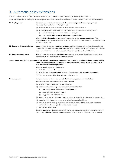# <span id="page-3-0"></span>3. Automatic policy extensions

In addition to the cover under 2.1 – 'Damage to insured property', we also provide the following Automatic policy extensions. Unless expressly stated otherwise, any amounts payable under these Automatic extensions are included within 7.1 'Maximum amount payable'.

| 3.1 Burglary cover               |       | You are insured for sudden and accidental loss to insured property occurring anywhere in<br>New Zealand caused by theft or attempted theft:                                                                                                                                     |
|----------------------------------|-------|---------------------------------------------------------------------------------------------------------------------------------------------------------------------------------------------------------------------------------------------------------------------------------|
|                                  | (a)   | accompanied by threat of violence, or actual violence to any person, or                                                                                                                                                                                                         |
|                                  | (b)   | involving physical evidence of violent and forcible entry to, or exit from a securely locked:                                                                                                                                                                                   |
|                                  | (i)   | enclosed building (or part of an enclosed building), or                                                                                                                                                                                                                         |
|                                  | (ii)  | motor vehicle, fully enclosed trailer or storage container.                                                                                                                                                                                                                     |
|                                  |       | Where the theft of <i>insured property</i> occurs from a motor vehicle, <b>storage container</b> or <b>fully</b><br>enclosed trailer which itself has been stolen and not recovered, physical evidence of forcible entry to or<br>exit will not be required.                    |
| 3.2 Electronic data and software |       | <b>You</b> are insured for the loss of <b>data</b> and <b>software</b> resulting from electronic equipment insured by this<br>policy suffering sudden and <b>accidental loss</b> covered by this policy occurring anywhere in New Zealand.                                      |
|                                  |       | Please also read 6.2 Basis of settlement: certain types of property – 'Data' and 'Software'.                                                                                                                                                                                    |
| 3.3 Employee effects cover       |       | You are insured for sudden and accidental loss occurring anywhere in New Zealand to the clothing,<br>personal effects and tools of trade of your direcnzherald                                                                                                                  |
|                                  |       | tors and employees (but not your contractors). We will cover this property as if it were contents, provided that the property is being<br>worn, carried or used by your directors or employees while they are acting in the course of<br>their directors' duties or employment. |
|                                  |       | The most <b>we</b> will pay under this extension:                                                                                                                                                                                                                               |
|                                  | (i)   | is \$5,000 for any <b>event</b> , per person, and                                                                                                                                                                                                                               |
|                                  | (ii)  | in total during the <b>annual period</b> is the sum insured shown in the <b>schedule</b> for <b>contents</b> .                                                                                                                                                                  |
|                                  |       | 9.7 'Other insurance' condition does not apply to this extension.                                                                                                                                                                                                               |
| 3.4 Money cover                  |       | <b>You</b> are insured for sudden and <b>accidental loss</b> of <b>money</b> , anywhere in New Zealand.                                                                                                                                                                         |
|                                  |       | This extension does not provide cover for loss of money:                                                                                                                                                                                                                        |
|                                  | (a)   | caused by errors in receiving it or paying it out, or                                                                                                                                                                                                                           |
|                                  | (b)   | occurring while the <b>money</b> is entrusted to any person other than:                                                                                                                                                                                                         |
|                                  | (i)   | you or any director or executive officer of yours, or                                                                                                                                                                                                                           |
|                                  | (ii)  | any employee or agent of yours, or                                                                                                                                                                                                                                              |
|                                  | (iii) | any professional <b>money</b> carrier, or                                                                                                                                                                                                                                       |
|                                  | (C)   | resulting from payment of <b>money</b> in exchange for any cheque that is subsequently dishonoured, or                                                                                                                                                                          |
|                                  | (d)   | occurring while the <b>money</b> is in an unlocked and unoccupied vehicle, or                                                                                                                                                                                                   |
|                                  | (e)   | caused by theft or fraud by any of your employees, unless the loss is discovered within three<br>consecutive <b>business days</b> of the act of theft or fraud, or                                                                                                              |
|                                  | (f)   | through electronic means.                                                                                                                                                                                                                                                       |
|                                  |       | The most we will pay under this extension is \$1,000 for any event, unless a different amount for money is<br>shown in the <b>schedule</b> . Payment under this extension is in addition to 7.1 'Maximum amount payable'.                                                       |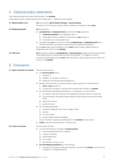### <span id="page-4-0"></span>4. Optional policy extensions

These Optional extensions only apply where specified in the schedule.

Unless stated otherwise, Optional extensions are included within 7.1 'Maximum amount payable'.

| 4.1 Natural disaster cover | You are insured for natural disaster damage to insured property.                                                                                                                                          |  |  |
|----------------------------|-----------------------------------------------------------------------------------------------------------------------------------------------------------------------------------------------------------|--|--|
|                            | The excess is 2.5% of the sum insured or \$2,500, whichever is the greater, for each <b>event</b> .                                                                                                       |  |  |
| 4.2 Refrigerated goods     | <b>You</b> are insured for:                                                                                                                                                                               |  |  |
|                            | accidental loss to refrigerated stock provided that the loss results from:<br>(a)                                                                                                                         |  |  |
|                            | <b>machinery breakdown</b> of the refrigeration plant, or<br>(i)                                                                                                                                          |  |  |
|                            | sudden failure of power supplied by a public utility to <b>your</b> premises, or<br>(ii)                                                                                                                  |  |  |
|                            | the operation of an overload switch, and<br>(iii)                                                                                                                                                         |  |  |
|                            | reasonable costs you incur to avoid or minimise accidental loss to refrigerated stock that is<br>(b)<br>covered by (a) above. For example, moving the goods to an alternative storage unit.               |  |  |
|                            | The most we will pay under this extension for any event is \$2,500 unless a different amount for<br>refrigerated goods is shown in the schedule.                                                          |  |  |
| 4.3 Theft cover            | You are insured for sudden and accidental loss to insured property caused by theft occurring anywhere<br>in New Zealand that is not covered under Automatic Policy Extension $-3.1$ Burglary Cover above. |  |  |
|                            | An excess of \$2,500 applies for each <b>event</b> under this extension, unless a higher excess for Theft Cover<br>is shown in the schedule.                                                              |  |  |
|                            |                                                                                                                                                                                                           |  |  |

### 5. Exclusions

### **5.1 Types of property not covered** This policy does not insure:

- (a) any *insured* property during:
	- (i) demolition, or
	- (ii) installation, construction or erection, or
	- (iii) testing and commissioning following (a)(ii) above.
- (b) jewellery, precious stones, furs, precious metals or bullion, except if any of these items are:
	- (i) stock of your business, or
	- (ii) a component of any plant or machinery that is insured under this policy as **contents**.
- (c) any of the following (including plant attaching to, or accessories in or on any of them):
	- (i) any vehicle or trailer that is required to be reqistered or licensed to travel on a public road,
	- (ii) any mechanically or electrically propelled vehicles (including railway locomotives and rolling stock),
	- (iii) watercraft of any kind,
	- (iv) aircraft of any kind.
- (d) any of the following property:
	- (i) live plants including any trees, shrubs, hedges or grass,
	- (ii) livestock,
	- (iii) any living creature,
	- (iv) property located outside New Zealand,
	- except, if the item of property is specifically listed in the **schedule** as being insured.
- (e) money, other than cover provided by 3.4 'Money cover'.

### 5.2 Losses not covered This policy does not insure:

- (a) any of the following types of damage to **insured property**:
	- (i) slowly developing deformation or distortion,
	- (ii) marring or scratching,
	- (iii) gradual deterioration,
	- (iv) rot or mildew,
	- (v) wear and tear, corrosion or rust.
- (b) loss immediately preceded by any of the following:
	- (i) interruption of the supply of water, gas, electricity, or any fuel to the situation, other than cover provided by 4.2 'Refrigerated goods',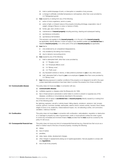- (ii) total or partial stoppage of work, or interruption or cessation of any process,
- (iii) a change in artificially controlled temperature or atmosphere, other than cover provided by 4.2 'Refrigerated goods'.
- $(c)$  loss caused by or arising from any of the following:
	- (i) action of micro-organisms, vermin or pests,
	- (ii) action of light, or inherent nature of the property (including shrinkage, evaporation, loss of weight, change of flavour or colour or texture or finish),
	- (iii) fumes, gas, dust, smoke or soot,
	- (iv) maintenance of *insured property* including servicing, cleaning and subsequent testing,
	- (v) spontaneous combustion,
	- (vi) spontaneous fermentation.

This exclusion only applies to the insured property, or to the part of the insured property (as applicable), directly affected. It does not apply to any resultant sudden and **accidental loss** to separate insured property, or to other parts of the same insured property (as applicable).

- (d) **loss** that is:
	- (i) only evidenced by an unexplained disappearance,
	- (ii) only revealed by the taking of an inventory,
	- (iii) due to clerical or accounting errors.
- loss caused by any of the following:
	- (i) theft or attempted theft, other than cover provided by:
		- (a) 3.1 'Burglary cover',
		- (b) 3.3 'Employee effects cover',
		- (c) 3.4 'Money cover',
		- (d) 4.3 'Theft cover',
	- (ii) any fraudulent scheme or device, or false pretence practised on you or any other person,
	- (iii) theft, attempted theft or fraud by you or an employee of yours other than cover provided by 3.4 'Money cover'.
- (f) loss following exposure to weather conditions if the property is not designed to be left in the open (unless reasonable precautions have been taken to protect the property from those conditions).
- 

**5.3 Communicable disease** This policy does not insure any loss, in connection with any:

- (a) communicable disease,
- (b) notifiable organism or disease under the Biosecurity Act 1993,
- (c) fear or threat (actual or perceived) or action taken to control or prevent or suppress any of the diseases, conditions or circumstances described in this exclusion.

This exclusion will not apply to **accidental loss** to insured property directly caused by or arising from any of the following perils:

fire, lightning, explosion, aircraft or vehicle impact, falling objects, windstorm, rainstorm, hail, tornado, cyclone, typhoon, hurricane, landslip, earthquake, seismic and/or volcanic activity, tsunami, flood, freeze, weight of snow or ice, avalanche, meteor/asteroid impact, riot, riot attending a strike, civil commotion, vandalism, malicious mischief.

5.4 Confiscation This policy does not insure loss in connection with confiscation, nationalisation, requisition or destruction of, or damage to property by order of government, public or local authority (unless the order is given to control any immediate and imminent threat of loss provided that the loss would be covered by this policy if it did occur).

5.5 Consequential financial loss This policy does not insure any kind of consequential financial loss *(e.g. financial loss that occurs as a direct or indirect result of the loss of insured property)*, including the following:

- (a) delays,
- (b) loss of market,
- (c) penalties,
- (d) rates, taxes, duties, development charges,
- (e) other charges or assessments arising out of capital appreciation, that are payable to comply with any regulations,
- (f) loss of use of any property.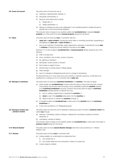| 5.6 Costs not insured                         | This policy does not insure the cost of:                                                                                                                                                                                                                                                                                                                                     |
|-----------------------------------------------|------------------------------------------------------------------------------------------------------------------------------------------------------------------------------------------------------------------------------------------------------------------------------------------------------------------------------------------------------------------------------|
|                                               | repairing or replacing faulty materials, or<br>(a)                                                                                                                                                                                                                                                                                                                           |
|                                               | fixing faulty workmanship, or<br>(b)                                                                                                                                                                                                                                                                                                                                         |
|                                               | fixing any work performed to a faulty:<br>(C)                                                                                                                                                                                                                                                                                                                                |
|                                               | design plan, or<br>(i)                                                                                                                                                                                                                                                                                                                                                       |
|                                               | (ii)<br>design specification, or                                                                                                                                                                                                                                                                                                                                             |
|                                               | altering or modifying any part of any refrigeration or air conditioning plant to enable the plant to<br>(d)<br>operate with a more ozone friendly refrigerant.                                                                                                                                                                                                               |
|                                               | This exclusion does not apply to any resultant sudden and <b>accidental loss</b> to separate <b>insured</b><br><b>property</b> or to other parts of the same <b>insured property</b> arising from the above.                                                                                                                                                                 |
| 5.7 Cyber                                     | This policy does not insure any loss, in connection with any:                                                                                                                                                                                                                                                                                                                |
|                                               | <b>cyber act</b> or <b>cyber incident</b> , including any action taken in controlling, preventing, suppressing or<br>1.<br>remediating any <b>cyber act</b> or <b>cyber incident</b> , or                                                                                                                                                                                    |
|                                               | 2.<br>loss of use, reduction in functionality, repair, replacement, restoration or reproduction of any <b>data</b><br>or software, including any amount relating to the value of such data.                                                                                                                                                                                  |
|                                               | Exclusion 5.7 (1) will not apply to <b>accidental loss</b> to <b>insured property</b> directly caused by any of the<br>following:                                                                                                                                                                                                                                            |
|                                               | theft or forcible entry;<br>(a)                                                                                                                                                                                                                                                                                                                                              |
|                                               | storm, windstorm, hail, tornado, cyclone, hurricane;<br>(b)                                                                                                                                                                                                                                                                                                                  |
|                                               | fire, lightning or explosion;<br>(C)                                                                                                                                                                                                                                                                                                                                         |
|                                               | earthquake, volcano activity or tsunami;<br>(d)                                                                                                                                                                                                                                                                                                                              |
|                                               | flood, freeze or weight of snow;<br>(e)                                                                                                                                                                                                                                                                                                                                      |
|                                               | aircraft impact or vehicle impact or falling objects;<br>(f)                                                                                                                                                                                                                                                                                                                 |
|                                               | water damage;<br>(g)                                                                                                                                                                                                                                                                                                                                                         |
|                                               | loss of or damage to refrigerated goods due to a change in temperature.<br>(h)                                                                                                                                                                                                                                                                                               |
|                                               | Provided that there is no cover where such loss is directly or indirectly caused by, contributed to by,<br>resulting from or arising out of or in connection with a cyber act.                                                                                                                                                                                               |
| 5.8 Damage to machinery                       | This policy does not insure any <b>machinery breakdown</b> of a <b>machine</b> . This does not apply:                                                                                                                                                                                                                                                                        |
|                                               | where sudden and <b>accidental loss</b> covered under this policy (or that would have been covered<br>(a)<br>if the property was insured under this policy) occurs completely outside the <b>machine</b> resulting<br>in the machinery breakdown occurring. However, this proviso does not apply to machinery<br><b>breakdown</b> resulting directly or indirectly from any: |
|                                               | error in: setting, programming or operating the <b>machine</b> , or<br>(i)                                                                                                                                                                                                                                                                                                   |
|                                               | stock or part of the machine being drawn into the machine, or<br>(II)                                                                                                                                                                                                                                                                                                        |
|                                               | failure to service or maintain the <b>machine</b> correctly, or<br>(iii)                                                                                                                                                                                                                                                                                                     |
|                                               | to resultant sudden and <b>accidental loss</b> to other parts of the <b>machine</b> that is not <b>machinery</b><br>(b)<br>breakdown, or                                                                                                                                                                                                                                     |
|                                               | to the cover provided by 4.2 'Refrigerated goods'.<br>(C)                                                                                                                                                                                                                                                                                                                    |
| 5.9 Damage to boilers and<br>pressure vessels | This policy does not insure the cost of repairing or replacing any part of a boiler or <b>pressure vessel</b> that<br>suffers loss through:                                                                                                                                                                                                                                  |
|                                               | explosion, overheating, rupture, bursting or collapse (but not pressure caused by chemical<br>(a)<br>explosion), or                                                                                                                                                                                                                                                          |
|                                               | overheating, cracking or leaking.<br>(b)                                                                                                                                                                                                                                                                                                                                     |
|                                               | This exclusion does not apply to any resultant sudden and <b>accidental loss</b> to other parts of the boiler or<br>pressure vessel arising from the above.                                                                                                                                                                                                                  |
| 5.10 Natural disaster                         | This policy does not insure <b>natural disaster damage</b> other than cover provided by 4.1 'Natural<br>disaster cover'.                                                                                                                                                                                                                                                     |
| 5.11 Nuclear                                  | This policy does not insure loss in connection with:                                                                                                                                                                                                                                                                                                                         |
|                                               | ionising radiation or contamination by radioactivity from:<br>(a)                                                                                                                                                                                                                                                                                                            |
|                                               | (i)<br>any nuclear fuel, or                                                                                                                                                                                                                                                                                                                                                  |
|                                               | any nuclear waste from the combustion or fission of nuclear fuel.<br>(ii)                                                                                                                                                                                                                                                                                                    |
|                                               | nuclear weapons material.<br>(b)                                                                                                                                                                                                                                                                                                                                             |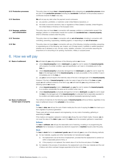<span id="page-7-0"></span>

| 5.12 Production processes                    | This policy does not insure <b>loss</b> to <b>insured property</b> while undergoing any <b>production process</b> where<br>any part of that <b>production process</b> (including any <b>accidental</b> modification of the process) causes or<br>contributes towards the loss in any way.                                                                                                                                      |
|----------------------------------------------|--------------------------------------------------------------------------------------------------------------------------------------------------------------------------------------------------------------------------------------------------------------------------------------------------------------------------------------------------------------------------------------------------------------------------------|
| 5.13 Sanctions                               | <b>We</b> will not pay any claim when the payment would contravene:                                                                                                                                                                                                                                                                                                                                                            |
|                                              | any sanction, prohibition, or restriction under United Nations resolutions, or<br>(a)                                                                                                                                                                                                                                                                                                                                          |
|                                              | the trade or economic sanctions, laws or regulations of New Zealand, Australia, United Kingdom,<br>(b)<br>the United States of America or the European Union.                                                                                                                                                                                                                                                                  |
| 5.14 Seepage, pollution<br>and contamination | This policy does not insure <b>loss</b> in connection with seepage, pollution or contamination except if the<br>seepage, pollution or contamination results from sudden and <b>accidental loss</b> to <b>insured property</b> ,<br>which is otherwise covered under this policy.                                                                                                                                               |
| 5.15 Terrorism                               | This policy does not insure loss in connection with an act of terrorism, including in connection with<br>controlling, preventing, suppressing, retaliating against, or responding to an <b>act of terrorism</b> .                                                                                                                                                                                                              |
| 5.16 War                                     | This policy does not insure loss in connection with any of the following, including controlling, preventing<br>or suppressing any of the following: war, invasion, act of foreign enemy, hostilities or warlike operations<br>(whether war is declared or not), civil war, mutiny, rebellion, revolution, civil commotion assuming the<br>proportions of or amounting to an uprising, insurrection, military or usurped power. |

# 6. How we will pay

| 6.1 Basis of settlement                               | We will indemnify you using whichever of the following options we choose: |                                                                                                                                                                                                                                                                                                                          |  |
|-------------------------------------------------------|---------------------------------------------------------------------------|--------------------------------------------------------------------------------------------------------------------------------------------------------------------------------------------------------------------------------------------------------------------------------------------------------------------------|--|
|                                                       | (a)                                                                       | where insured property is lost or destroyed: pay you the cost to replace the insured property<br>with property of a similar condition, age and specification, as it was in, immediately prior to the<br>loss, or                                                                                                         |  |
|                                                       | (b)                                                                       | where <b>insured property</b> is physically damaged but not <b>destroyed</b> : pay you the cost to repair the<br>loss to the damaged part of the insured property, as nearly as possible, to the condition it was in<br>immediately prior to the <b>loss</b> , or                                                        |  |
|                                                       | (C)                                                                       | pay you an amount equal to the indemnity value of the lost or damaged part of the insured property.                                                                                                                                                                                                                      |  |
|                                                       |                                                                           | However, if the item of <b>insured property</b> is under two years of age at the time of the <b>loss</b> and you<br>supply us with sufficient evidence of the item's age, we will indemnify you using whichever of the<br>following options we choose:                                                                   |  |
|                                                       | (i)                                                                       | where insured property is lost or destroyed: pay you the cost to replace the insured property<br>to a condition substantially the same as its condition when new, or                                                                                                                                                     |  |
|                                                       | (ii)                                                                      | where <b>insured property</b> is physically damaged but not lost or <b>destroyed</b> : pay you the cost to repair<br>the loss to the damaged part of the insured property to a standard that is reasonably equivalent to<br>its condition and relative quality when new, but without necessarily reproducing it exactly. |  |
| 6.2 Basis of settlement:<br>Certain types of property |                                                                           | The method of indemnity for the following types of <b>insured property</b> will be as follows, regardless of any<br>basis of settlement shown in the <b>schedule</b> to the contrary.                                                                                                                                    |  |
|                                                       | <b>Data</b>                                                               |                                                                                                                                                                                                                                                                                                                          |  |
|                                                       |                                                                           | For loss to data, we will pay the cost of blank media plus the cost of copying the data from back-up or<br>from originals of a previous generation.                                                                                                                                                                      |  |
|                                                       |                                                                           | These costs will not include research and engineering, nor any costs of recreating, gathering or<br>assembling the data.                                                                                                                                                                                                 |  |
|                                                       |                                                                           | If the media is not repaired, replaced or restored, we will pay the cost of blank media. However, we do<br>not cover the value of the <b>data</b> to <b>you</b> , even if the <b>data</b> cannot be recreated, gathered or assembled.                                                                                    |  |
|                                                       |                                                                           | <b>Software</b>                                                                                                                                                                                                                                                                                                          |  |
|                                                       |                                                                           |                                                                                                                                                                                                                                                                                                                          |  |

For loss to software, we will pay the reasonable cost of restoring, re-setting or re-programming the software that is necessary to operate any electronic equipment or machine insured under this policy.

### **Stock**

For loss to stock that is not customers' goods, we will indemnify you by one of the following methods:

- (a) for raw materials, supplies and other merchandise not manufactured by you:
	- (i) the replacement cost at the time of replacement, provided that the replacement is carried out within a reasonable period of time, or
	- (ii) if this property is not replaced, the market value of it at the time and place of the loss.
- (b) for materials in the process of manufacture: the replacement cost of the raw materials and the cost of labour and other overhead charges expended at the time of the loss.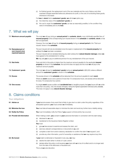(c) for finished goods: the replacement cost of the raw materials and the cost of labour and other overhead charges expended before any allowance for profit, or the cost of re-stocking these goods, whichever is the lesser.

For loss to stock that is customers' goods, we will at our option pay:

- (a) the indemnity value of the **customers' goods**, or
- (b) the cost to repair the **customers' goods**, as near as reasonably possible, to the condition they were in immediately prior to the loss.

### <span id="page-8-0"></span>7. What we will pay

| 7.1 Maximum amount payable               | The most we will pay during an annual period for contents, stock or any individually specified item of<br>insured property is the corresponding sum insured shown in the schedule for contents, stock or that<br>item as applicable.                                             |
|------------------------------------------|----------------------------------------------------------------------------------------------------------------------------------------------------------------------------------------------------------------------------------------------------------------------------------|
|                                          | However, the most we will pay for all insured property during an annual period is the 'Total sum<br>insured' shown in the schedule.                                                                                                                                              |
| 7.2 Reinstatement of<br>sum insured once | The sum insured will only be reinstated once the repair or replacement of the <b>insured property</b> that<br>suffered the loss has been completed.                                                                                                                              |
| repaired/replaced                        | The sum insured will not reinstate following any claim arising from <b>natural disaster damage</b> unless we<br>have agreed to the reinstatement in writing.                                                                                                                     |
|                                          | We may ask you to pay an additional premium for any reinstatement of the sum insured.                                                                                                                                                                                            |
| 7.3 Sub limits                           | If any sub limit in this policy is higher than the maximum amount payable for the applicable <b>insured</b><br><b>property</b> as shown in the <b>schedule</b> , the sub limit does not apply and the most we will pay is the<br>maximum amount payable.                         |
| 7.4 Customers' goods                     | The most we will pay for customers' goods during an annual period is \$20,000 unless a different<br>amount for <b>customers' goods</b> is shown in the <b>schedule</b> .                                                                                                         |
| 7.5 Excess                               | The excess shown in the <b>schedule</b> will be deducted from the amount payable for each <b>event</b> .                                                                                                                                                                         |
|                                          | Where an <b>event</b> occurs over a period of more than 72 consecutive hours, one excess will be deducted<br>for every 72 consecutive hour period.                                                                                                                               |
| 7.6 One excess                           | If a single event causes sudden and accidental loss to tangible property that you insure with us under<br>more than one policy, only one excess will apply, being the highest applicable individual policy excess.<br>This does not apply to any <b>natural disaster damage.</b> |

## 8. Claims conditions

Your obligations

| 8.1 Advise us                | If you become aware of any event that is likely to give rise to a claim under this policy regardless of the<br>anticipated quantum, you must contact us immediately. |
|------------------------------|----------------------------------------------------------------------------------------------------------------------------------------------------------------------|
| 8.2 Minimise the loss        | <b>You</b> must take all reasonable steps to minimise the claim and avoid any further loss or liability arising.                                                     |
| 8.3 Notify the Police        | <b>You</b> must immediately notify the Police if you suspect criminal activity has occurred.                                                                         |
| 8.4 Provide full information | When making a claim, you consent to your personal information in connection with the claim being:<br>disclosed to us, and<br>(a)                                     |
|                              | transferred to the Insurance Claims Register Limited.<br>(b)                                                                                                         |
|                              | You must:                                                                                                                                                            |
|                              | give us free access to examine and assess the claim, and<br>(i)                                                                                                      |
|                              | send any relevant correspondence or documents to us, and<br>(ii)                                                                                                     |
|                              | complete a claim form and/or statutory declaration to confirm the claim if we request it, and<br>(iii)                                                               |
|                              | provide any other information, proof of ownership or assistance that we may require at any time.<br>(iv)                                                             |
| 8.5 Be honest                | If your claim is dishonest or fraudulent in any way, we may:                                                                                                         |
|                              | decline the claim either in whole or in part, and/or<br>(a)                                                                                                          |
|                              | declare either this policy or all insurance you have with us to be of no effect and to no longer exist<br>(b)<br>from the date of the dishonest or fraudulent act.   |
|                              | This is at our sole discretion.                                                                                                                                      |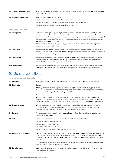<span id="page-9-0"></span>

| 8.6 Do not dispose of property | You must not destroy or dispose of anything that is or could be part of a claim until we have given you<br>permission to do this.                                                                                                                                                                                                                                                                                                                              |
|--------------------------------|----------------------------------------------------------------------------------------------------------------------------------------------------------------------------------------------------------------------------------------------------------------------------------------------------------------------------------------------------------------------------------------------------------------------------------------------------------------|
| 8.7 Obtain our agreement       | You must obtain our agreement before:                                                                                                                                                                                                                                                                                                                                                                                                                          |
|                                | incurring any expenses in connection with any claim under this policy, or<br>(a)                                                                                                                                                                                                                                                                                                                                                                               |
|                                | negotiating, paying, settling, admitting or denying any claim against you, or<br>(b)                                                                                                                                                                                                                                                                                                                                                                           |
|                                | doing anything that may prejudice our rights of recovery.<br>(C)                                                                                                                                                                                                                                                                                                                                                                                               |
| <b>Managing your claim</b>     |                                                                                                                                                                                                                                                                                                                                                                                                                                                                |
| 8.8 Subrogation                | Once we have accepted any part of your claim under this policy, we may assume your legal right<br>of recovery. If we initiate a recovery we will include your excess, and any other uninsured losses<br>suffered by you. Where we do this, you agree to pay your proportional share of the recovery costs, and<br>subsequently the proceeds of the recovery will be shared on the same proportional basis, except that<br>we will reimburse your excess first. |
|                                | You must fully co-operate with any recovery process. If you do not, we may recover from you the<br>amount paid in relation to the claim.                                                                                                                                                                                                                                                                                                                       |
| 8.9 Recoveries                 | If any property that we have paid a claim for is later found or recovered, you must tell us immediately<br>and hand it over to us if we request it. We have the right to keep any property that we have paid a claim<br>for under this policy, including any proceeds if it is sold.                                                                                                                                                                           |
| 8.10 Reparation                | If any person is ordered to make reparation to <b>you</b> for <b>loss</b> to any property that we have paid a claim<br>under this policy for, then you must tell us. Any payments received, must first reimburse our claims<br>payment up to the amount of any reparation received.                                                                                                                                                                            |
| 8.11 Branded stock             | For salvage that is branded goods or merchandise, we will not dispose of these items by sale unless<br>you agree. If you do not agree, the value of the salvage will be deducted from any claim payment.                                                                                                                                                                                                                                                       |

# 9. General conditions

### How we administer this policy

| 9.1 Assignment                 | You may not assign this policy or any interest under this policy without our prior written consent.                                                                                                                                                                                                                                                                                                                                                                                                                                                                                                                        |
|--------------------------------|----------------------------------------------------------------------------------------------------------------------------------------------------------------------------------------------------------------------------------------------------------------------------------------------------------------------------------------------------------------------------------------------------------------------------------------------------------------------------------------------------------------------------------------------------------------------------------------------------------------------------|
| 9.2 Cancellation               | By you<br>You may cancel this policy at any time by notifying us. If you do, we will refund any premium that is<br>due to you based on the unused portion of the period of insurance. You must pay any outstanding<br>premium due for the expired portion of the <b>period of insurance.</b><br>By us<br>We may cancel this policy by giving you notice in writing or by electronic means at your last known<br>address. Your policy will be cancelled from 4pm on the 30th day after the date of the notice. We will<br>refund you any premium that is due to you based on the unused portion of the period of insurance. |
| 9.3 Change of terms            | We may change the terms of this policy (including the excess) by giving you notice in writing or by<br>electronic means, at your last known address. Unless otherwise specified in the notice the change in<br>terms will take effect from 4pm on the 30th day after the date of the notice.                                                                                                                                                                                                                                                                                                                               |
| 9.4 Currency                   | Any amounts shown in this policy or in the <b>schedule</b> are in New Zealand dollars, unless otherwise<br>specified in the schedule.                                                                                                                                                                                                                                                                                                                                                                                                                                                                                      |
| 9.5 GST                        | Where GST is recoverable by us under the Goods and Services Tax Act 1985:<br>all sums insured exclude GST, and<br>(a)<br>all sub limits exclude GST, and<br>(b)<br>all excesses include GST, and<br>(C)<br>GST will be added, where applicable, to claim payments.<br>(d)                                                                                                                                                                                                                                                                                                                                                  |
| 9.6 Interests of other parties | If we are advised of any party having a financial interest over your insured property, we may pay part<br>or all of any valid claim proceeds to that party to the extent of their interest. This will form part of our<br>obligations to you under this policy. You consent to us transferring your relevant personal information to<br>that party.<br>Any party, who is recorded as having a financial interest under this policy, is not covered by this policy<br>and does not have rights to claim under this policy.                                                                                                  |
| 9.7 Other insurance            | You must notify us as soon as you know of any other insurance policy that covers you for any of the<br>risks covered under this policy.                                                                                                                                                                                                                                                                                                                                                                                                                                                                                    |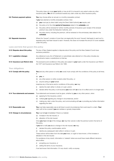|                                       | This policy does not cover <b>your</b> liability or loss at all if it is insured to any extent under any other<br>insurance policy. We will not contribute towards any claim under any other insurance policy.                            |
|---------------------------------------|-------------------------------------------------------------------------------------------------------------------------------------------------------------------------------------------------------------------------------------------|
| 9.8 Premium payment options           | You may choose either an annual or a monthly renewable contract.                                                                                                                                                                          |
|                                       | If you have elected a monthly renewable contract, then:                                                                                                                                                                                   |
|                                       | you must pay by direct debit using the Direct Debit Authority we require, and<br>(a)                                                                                                                                                      |
|                                       | the policy is for the initial <b>period of insurance</b> stated in the <b>schedule</b> , and<br>(b)                                                                                                                                       |
|                                       | the policy will be renewed for further monthly periods of insurance upon receipt of the renewal<br>(C)<br>premium due under the Deduction Authority, and                                                                                  |
|                                       | the policy terms, including the premium, will be reviewed on the anniversary date stated in the<br>(d)<br>schedule.                                                                                                                       |
| 9.9 Separate insurance                | Where the 'Insured' consists of more than one legal entity the word 'Insured' shall apply to each as if a<br>separate policy had been issued to each. However, this does not increase the amount of cover available<br>under this policy. |
| Laws and Acts that govern this policy |                                                                                                                                                                                                                                           |
| 9.10 Disputes about this policy       | The law of New Zealand applies to disputes about this policy and the New Zealand Courts have<br>exclusive jurisdiction.                                                                                                                   |
| 9.11 Legislation changes              | Any reference to any Act of Parliament or subordinate rules referred to in this policy includes any<br>amendments made or substitutions to that law.                                                                                      |
| 9.12 Insurance Law Reform Acts        | The exclusions and conditions in this policy are subject to your rights under the Insurance Law Reform<br>Act 1977 and Insurance Law Reform Act 1985.                                                                                     |
| Your obligations                      |                                                                                                                                                                                                                                           |
| 9.13 Comply with the policy           | You (and any other person or entity we cover) must comply with the conditions of this policy at all times.<br>lf:                                                                                                                         |
|                                       | (a)<br>you, or                                                                                                                                                                                                                            |
|                                       | any other person or entity covered under this policy, or<br>(b)                                                                                                                                                                           |
|                                       | anyone acting on your behalf,<br>(C)                                                                                                                                                                                                      |
|                                       | breaches any of the terms and/or conditions of this policy, we may:                                                                                                                                                                       |
|                                       | decline the claim either in whole or in part, and/or<br>(i)                                                                                                                                                                               |
|                                       | declare either this policy or all insurance you have with us to be of no effect and to no longer exist.<br>(ii)                                                                                                                           |
| 9.14 True statements and answers      | True statements and answers must be given, whether by you or any other person, when:                                                                                                                                                      |
|                                       | applying for this insurance, and/or<br>(a)                                                                                                                                                                                                |
|                                       | notifying us regarding any change in circumstances, and/or<br>(b)                                                                                                                                                                         |
|                                       | making any claim under this policy, and communicating with us or providing any further information<br>(C)<br>regarding the claim.                                                                                                         |
| 9.15 Reasonable care                  | You must take reasonable care at all times to avoid circumstances that could result in a claim. Your<br>claim will not be covered if you are reckless or grossly irresponsible.                                                           |
| 9.16 Change in circumstances          | You must tell us immediately if there is a material:                                                                                                                                                                                      |
|                                       | increase in the risk insured, or<br>(a)                                                                                                                                                                                                   |
|                                       | alteration of the risk insured.<br>(b)                                                                                                                                                                                                    |
|                                       | Once you have told us of the change, we may then cancel or alter the premium and/or the terms of<br>this policy.                                                                                                                          |
|                                       | If you fail to notify us about a change in the risk insured, we may:                                                                                                                                                                      |
|                                       | declare this policy unenforceable, and/or<br>(i)                                                                                                                                                                                          |
|                                       | decline any subsequent claim either in whole or in part.<br>(ii)                                                                                                                                                                          |
|                                       | These actions will be taken from the date you knew, or ought to have known, of the increase or<br>alteration in the risk insured.                                                                                                         |
|                                       | For avoidance of any doubt, information is 'material' where we would have made different decisions<br>about either:                                                                                                                       |
|                                       | accepting your insurance, or<br>(i)                                                                                                                                                                                                       |
|                                       | setting the terms of your insurance,<br>(ii)                                                                                                                                                                                              |

*if we had known that information. If in any doubt, notify us anyway.*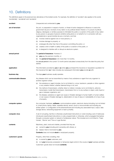# <span id="page-11-0"></span>10. Definitions

The definitions apply to the plural and any derivatives of the bolded words. For example, the definition of 'accident' also applies to the words 'accidentally', 'accidental' and 'accidents'.

| accident             | Unexpected and unintended by you.                                                                                                                                                                                                                                                                                                                                                                                                                                                                               |
|----------------------|-----------------------------------------------------------------------------------------------------------------------------------------------------------------------------------------------------------------------------------------------------------------------------------------------------------------------------------------------------------------------------------------------------------------------------------------------------------------------------------------------------------------|
| act of terrorism     | Any act, or preparation in respect of action, or threat of action designed to influence or coerce the<br>government de jure or de facto of any nation or any political division thereof, or in pursuit of political,<br>religious, ideological, or similar purposes to intimidate the public or a section of the public of any nation<br>by any person or group(s) of persons whether acting alone or on behalf of or in connection with any<br>organisation(s) or government(s) de jure or de facto, and that: |
|                      | involves violence against one or more persons, or<br>(a)                                                                                                                                                                                                                                                                                                                                                                                                                                                        |
|                      | involves damage to property, or<br>(b)                                                                                                                                                                                                                                                                                                                                                                                                                                                                          |
|                      | endangers life other than that of the person committing the action, or<br>(C)                                                                                                                                                                                                                                                                                                                                                                                                                                   |
|                      | creates a risk to health or safety of the public or a section of the public, or<br>(d)                                                                                                                                                                                                                                                                                                                                                                                                                          |
|                      | is designed to interfere with or disrupt an electronic system.<br>(e)                                                                                                                                                                                                                                                                                                                                                                                                                                           |
| annual period        | The <b>period of insurance</b> . However, if:                                                                                                                                                                                                                                                                                                                                                                                                                                                                   |
|                      | <b>you</b> pay the premium monthly, or<br>(a)                                                                                                                                                                                                                                                                                                                                                                                                                                                                   |
|                      | the <b>period of insurance</b> is for more than 12 months,<br>(b)                                                                                                                                                                                                                                                                                                                                                                                                                                               |
|                      | the annual period is the current 12 month period calculated consecutively from the date this policy first<br>started.                                                                                                                                                                                                                                                                                                                                                                                           |
| application          | The information provided by you to us when you purchased this insurance or requested a quotation for<br>this insurance from us. It also includes any subsequent information you provide us with.                                                                                                                                                                                                                                                                                                                |
| business day         | The days your business usually operates.                                                                                                                                                                                                                                                                                                                                                                                                                                                                        |
| communicable disease | Any disease which can be transmitted by means of any substance or agent from any organism to<br>another organism where:                                                                                                                                                                                                                                                                                                                                                                                         |
|                      | the substance or agent includes, but is not limited to, a virus, bacterium, parasite or other organism<br>(a)<br>or any variation thereof, whether deemed living or not, and                                                                                                                                                                                                                                                                                                                                    |
|                      | the method of transmission, whether direct or indirect, includes, but is not limited to, airborne<br>(b)<br>transmission, bodily fluid transmission, transmission from or to any surface or object, solid, liquid or<br>gas or between organisms, and                                                                                                                                                                                                                                                           |
|                      | the disease, substance or agent can cause or threaten damage to human health or human welfare<br>(C)<br>or can cause or threaten damage to, deterioration of, loss of value of, marketability of or loss of use<br>of property.                                                                                                                                                                                                                                                                                 |
| computer system      | Any computer, hardware, software, communications system, electronic device (including, but not limited<br>to, smart phone, laptop, tablet, wearable device), server, cloud or microcontroller and including any<br>similar system or configuration of the aforementioned and including any associated input, output, data<br>storage device, networking equipment or back up facility.                                                                                                                          |
| computer virus       | A set of corrupting, harmful or otherwise unauthorised instructions or code including a set of maliciously<br>introduced unauthorised instructions or code, programmatic or otherwise, which propagate themselves<br>through a computer system or network of whatsoever nature. This includes but is not limited to 'Trojan<br>Horses', 'Worms' and 'Time or Logic Bombs'.                                                                                                                                      |
| contents             | Machinery, plant, tools and chattels, provided that they are:                                                                                                                                                                                                                                                                                                                                                                                                                                                   |
|                      | owned by you (including joint ownership with others), or<br>(a)                                                                                                                                                                                                                                                                                                                                                                                                                                                 |
|                      | leased, hired or borrowed by you.<br>(b)                                                                                                                                                                                                                                                                                                                                                                                                                                                                        |
|                      | <b>Contents</b> does not include <b>stock</b> or employee's property.                                                                                                                                                                                                                                                                                                                                                                                                                                           |
| customers' goods     | Property, other than a building, that:                                                                                                                                                                                                                                                                                                                                                                                                                                                                          |
|                      | is owned by your customers, and<br>(a)                                                                                                                                                                                                                                                                                                                                                                                                                                                                          |
|                      | is in your temporary possession or temporary legal control in the course of your business activities.<br>(b)                                                                                                                                                                                                                                                                                                                                                                                                    |
|                      | Customers' goods does not include contents.                                                                                                                                                                                                                                                                                                                                                                                                                                                                     |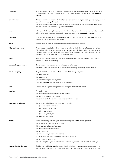| cyber act               | An unauthorised, malicious or criminal act or series of related unauthorised, malicious or criminal acts,<br>or the threat or hoax thereof involving access to, processing of, use of or operation of any computer<br>system.                                                                                                                                                  |
|-------------------------|--------------------------------------------------------------------------------------------------------------------------------------------------------------------------------------------------------------------------------------------------------------------------------------------------------------------------------------------------------------------------------|
| cyber incident          | Any error or omission or series of related errors or omissions involving access to, processing of, use of or<br>operation of any computer system, or                                                                                                                                                                                                                           |
|                         | any partial or total unavailability or failure or series of related partial or total unavailability or failures to<br>access, process, use or operate any computer system.                                                                                                                                                                                                     |
| data                    | Information, facts, concepts, code or any other information of any kind that is recorded or transmitted in<br>a form to be used, accessed, processed, transmitted or stored by a <b>computer system</b> .                                                                                                                                                                      |
| destroyed               | So physically damaged by an insured loss that the property, by reason only of that loss, cannot be<br>repaired or the cost of repair is uneconomic.                                                                                                                                                                                                                            |
| event                   | Any one event or series of events arising from one source or original cause.                                                                                                                                                                                                                                                                                                   |
| fully enclosed trailer  | A fully enclosed road trailer with rigid walls constructed of steel, aluminium, fibreglass or the like.<br>All openings or hatches must be secured with a purpose-built locking mechanism or padlock. An<br>enclosure constructed of chainmesh or soft fabric/plastic materials and the like does not meet the<br>required criteria to be considered a fully enclosed trailer. |
| fusion                  | The process of fusing or melting together of windings or wiring following damage to the insulating<br>material as a result of overheating.                                                                                                                                                                                                                                     |
| immediately preceded by | The event occurring in sequence immediately prior to the <b>loss</b> .                                                                                                                                                                                                                                                                                                         |
|                         | If there is a chain of events, this will be the last event occurring immediately prior to the loss.                                                                                                                                                                                                                                                                            |
| insured property        | Tangible property shown in the schedule within the following categories:                                                                                                                                                                                                                                                                                                       |
|                         | (a) contents, and                                                                                                                                                                                                                                                                                                                                                              |
|                         | (b) stock, and                                                                                                                                                                                                                                                                                                                                                                 |
|                         | any other tangible property listed.<br>(C)                                                                                                                                                                                                                                                                                                                                     |
|                         | <b>Data</b> and <b>software</b> are deemed to be tangible property.                                                                                                                                                                                                                                                                                                            |
| loss                    | Physical loss or physical damage occurring during the <b>period of insurance</b> .                                                                                                                                                                                                                                                                                             |
| machine                 | Any device that:                                                                                                                                                                                                                                                                                                                                                               |
|                         | (a) converts and directs motion or energy, and/or                                                                                                                                                                                                                                                                                                                              |
|                         | (b) performs any electronic process,                                                                                                                                                                                                                                                                                                                                           |
|                         | including any protective component connected with that device.                                                                                                                                                                                                                                                                                                                 |
| machinery breakdown     | any mechanical, hydraulic, electrical or electronic:<br>(a)                                                                                                                                                                                                                                                                                                                    |
|                         | breakdown or failure, or<br>(i)                                                                                                                                                                                                                                                                                                                                                |
|                         | cessation of function, or<br>(ii)                                                                                                                                                                                                                                                                                                                                              |
|                         | malfunction, or<br>(iii)                                                                                                                                                                                                                                                                                                                                                       |
|                         | derangement, or<br>(iv)                                                                                                                                                                                                                                                                                                                                                        |
|                         | fusion of any nature.<br>(b)                                                                                                                                                                                                                                                                                                                                                   |
| money                   | Any of the following, where they are associated solely with <b>your</b> business operations:                                                                                                                                                                                                                                                                                   |
|                         | current coin, bank and currency notes,<br>(a)                                                                                                                                                                                                                                                                                                                                  |
|                         | cheques and travellers' cheques,<br>(b)                                                                                                                                                                                                                                                                                                                                        |
|                         | bank drafts and money orders,<br>(C)                                                                                                                                                                                                                                                                                                                                           |
|                         | phone cards,<br>(d)                                                                                                                                                                                                                                                                                                                                                            |
|                         | unused postage and revenue stamps,<br>(e)                                                                                                                                                                                                                                                                                                                                      |
|                         | credit card vouchers, redeemable vouchers and tokens,<br>(f)                                                                                                                                                                                                                                                                                                                   |
|                         | (g)<br>franking machine credits,                                                                                                                                                                                                                                                                                                                                               |
|                         | other tangible negotiable instruments. For example, promissory notes or bills of exchange.<br>(h)                                                                                                                                                                                                                                                                              |
| natural disaster damage | Sudden and <b>accidental loss</b> that results directly or indirectly from earthquake, subterranean fire,<br>volcanic activity, tsunami, geothermal activity, hydrothermal activity, or fire caused by any of these.                                                                                                                                                           |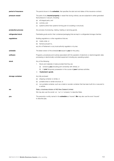| period of insurance | The period shown in the <b>schedule</b> , that specifies the start and end dates of this insurance contract.                                                                               |
|---------------------|--------------------------------------------------------------------------------------------------------------------------------------------------------------------------------------------|
| pressure vessel     | The parts of any <b>insured property</b> or vessel that during ordinary use are subjected to either generated<br>fluid pressure or vacuum, including:                                      |
|                     | all integral parts, and<br>(a)                                                                                                                                                             |
|                     | controls, and<br>(b)                                                                                                                                                                       |
|                     | (C)<br>systems (other than systems forming part of a building or structure).                                                                                                               |
| production process  | Any process of producing, making, treating or servicing goods.                                                                                                                             |
| refrigerated stock  | Perishable goods and/or their containers/packaging that are kept in a refrigerated storage chamber.                                                                                        |
| regulations         | Building regulations or other regulations that are:                                                                                                                                        |
|                     | made under, or<br>(a)                                                                                                                                                                      |
|                     | framed pursuant to,<br>(b)                                                                                                                                                                 |
|                     | any Act of Parliament or any local authority regulation or by-law.                                                                                                                         |
| schedule            | The latest version of the schedule we issued to you for this policy.                                                                                                                       |
| software            | Programs, procedures and routines associated with the operation of electronic or electromagnetic data<br>processing or electronically controlled equipment including any operating system. |
| stock               | Any of the following:                                                                                                                                                                      |
|                     | Stock and materials in trade provided that they are:<br>1.                                                                                                                                 |
|                     | owned by <b>you</b> (including joint ownership with others), or<br>(a)                                                                                                                     |
|                     | in your temporary possession in the course of your business activities.<br>(b)                                                                                                             |
|                     | 2.<br>Customers' goods.                                                                                                                                                                    |
| storage container   | Any fully enclosed:                                                                                                                                                                        |
|                     | shipping container or similar, or<br>(a)                                                                                                                                                   |
|                     | portable shed or similar structure, or<br>(b)                                                                                                                                              |
|                     | non-portable container, such as a metal or wooden container that has been built into or secured to<br>(C)<br>a vehicle.                                                                    |
| we                  | State, a business division of IAG New Zealand Limited.                                                                                                                                     |
|                     | We may also use the words 'us', 'our' or 'company' to describe State.                                                                                                                      |
| you                 | The person(s) or entity named in the <b>schedule</b> as 'Insured'. We may also use the word 'Insured'<br>to describe you.                                                                  |